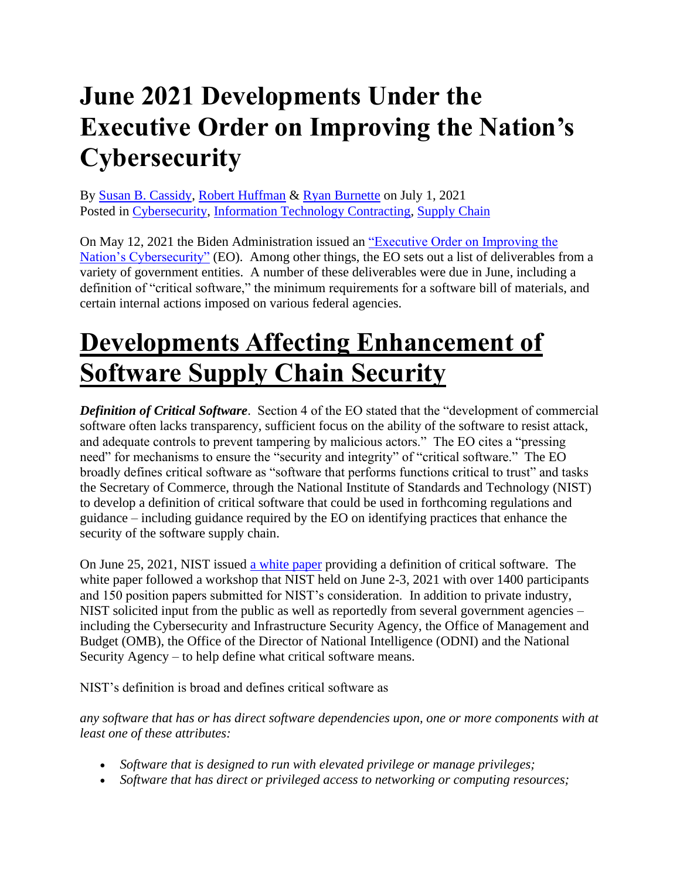# **June 2021 Developments Under the Executive Order on Improving the Nation's Cybersecurity**

By [Susan B. Cassidy,](https://www.insidegovernmentcontracts.com/author/scassidy/) [Robert Huffman](https://www.insidegovernmentcontracts.com/author/rhuffman/) & [Ryan Burnette](https://www.insidegovernmentcontracts.com/author/rburnette/) on July 1, 2021 Posted in [Cybersecurity,](https://www.insidegovernmentcontracts.com/category/cybersecurity/) [Information Technology Contracting,](https://www.insidegovernmentcontracts.com/category/information-technology-contracting/) [Supply Chain](https://www.insidegovernmentcontracts.com/category/supply-chain/)

On May 12, 2021 the Biden Administration issued an ["Executive Order on Improving the](https://www.whitehouse.gov/briefing-room/presidential-actions/2021/05/12/executive-order-on-improving-the-nations-cybersecurity/)  [Nation's Cybersecurity"](https://www.whitehouse.gov/briefing-room/presidential-actions/2021/05/12/executive-order-on-improving-the-nations-cybersecurity/) (EO). Among other things, the EO sets out a list of deliverables from a variety of government entities. A number of these deliverables were due in June, including a definition of "critical software," the minimum requirements for a software bill of materials, and certain internal actions imposed on various federal agencies.

# **Developments Affecting Enhancement of Software Supply Chain Security**

*Definition of Critical Software*. Section 4 of the EO stated that the "development of commercial software often lacks transparency, sufficient focus on the ability of the software to resist attack, and adequate controls to prevent tampering by malicious actors." The EO cites a "pressing need" for mechanisms to ensure the "security and integrity" of "critical software." The EO broadly defines critical software as "software that performs functions critical to trust" and tasks the Secretary of Commerce, through the National Institute of Standards and Technology (NIST) to develop a definition of critical software that could be used in forthcoming regulations and guidance – including guidance required by the EO on identifying practices that enhance the security of the software supply chain.

On June 25, 2021, NIST issued [a white paper](https://www.nist.gov/system/files/documents/2021/06/25/EO%20Critical%20FINAL_1.pdf) providing a definition of critical software. The white paper followed a workshop that NIST held on June 2-3, 2021 with over 1400 participants and 150 position papers submitted for NIST's consideration. In addition to private industry, NIST solicited input from the public as well as reportedly from several government agencies – including the Cybersecurity and Infrastructure Security Agency, the Office of Management and Budget (OMB), the Office of the Director of National Intelligence (ODNI) and the National Security Agency – to help define what critical software means.

NIST's definition is broad and defines critical software as

*any software that has or has direct software dependencies upon, one or more components with at least one of these attributes:* 

- *Software that is designed to run with elevated privilege or manage privileges;*
- *Software that has direct or privileged access to networking or computing resources;*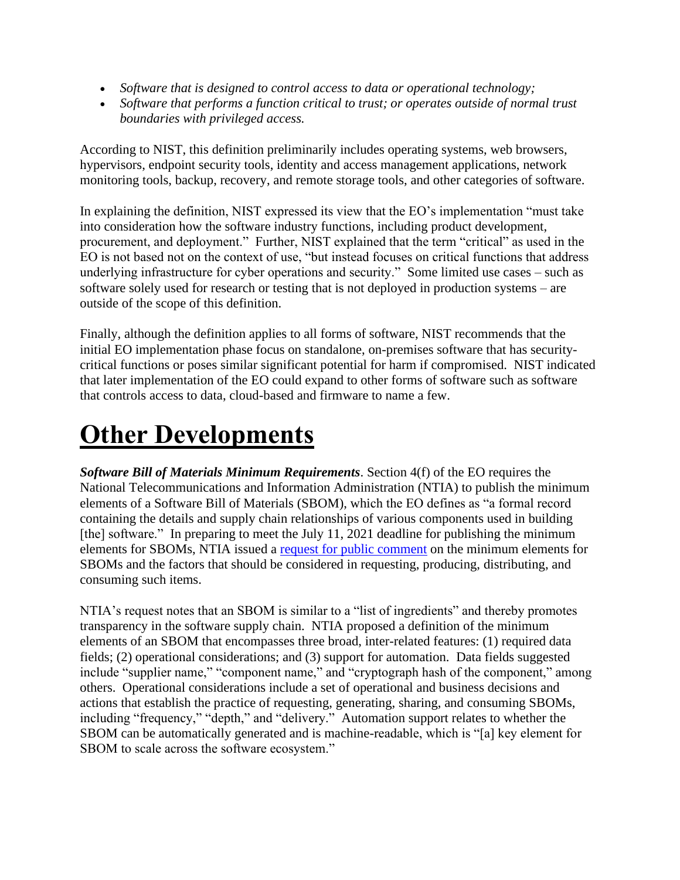- *Software that is designed to control access to data or operational technology;*
- *Software that performs a function critical to trust; or operates outside of normal trust boundaries with privileged access.*

According to NIST, this definition preliminarily includes operating systems, web browsers, hypervisors, endpoint security tools, identity and access management applications, network monitoring tools, backup, recovery, and remote storage tools, and other categories of software.

In explaining the definition, NIST expressed its view that the EO's implementation "must take into consideration how the software industry functions, including product development, procurement, and deployment." Further, NIST explained that the term "critical" as used in the EO is not based not on the context of use, "but instead focuses on critical functions that address underlying infrastructure for cyber operations and security." Some limited use cases – such as software solely used for research or testing that is not deployed in production systems – are outside of the scope of this definition.

Finally, although the definition applies to all forms of software, NIST recommends that the initial EO implementation phase focus on standalone, on-premises software that has securitycritical functions or poses similar significant potential for harm if compromised. NIST indicated that later implementation of the EO could expand to other forms of software such as software that controls access to data, cloud-based and firmware to name a few.

# **Other Developments**

*Software Bill of Materials Minimum Requirements*. Section 4(f) of the EO requires the National Telecommunications and Information Administration (NTIA) to publish the minimum elements of a Software Bill of Materials (SBOM), which the EO defines as "a formal record containing the details and supply chain relationships of various components used in building [the] software." In preparing to meet the July 11, 2021 deadline for publishing the minimum elements for SBOMs, NTIA issued a [request for public comment](https://www.federalregister.gov/documents/2021/06/02/2021-11592/software-bill-of-materials-elements-and-considerations) on the minimum elements for SBOMs and the factors that should be considered in requesting, producing, distributing, and consuming such items.

NTIA's request notes that an SBOM is similar to a "list of ingredients" and thereby promotes transparency in the software supply chain. NTIA proposed a definition of the minimum elements of an SBOM that encompasses three broad, inter-related features: (1) required data fields; (2) operational considerations; and (3) support for automation. Data fields suggested include "supplier name," "component name," and "cryptograph hash of the component," among others. Operational considerations include a set of operational and business decisions and actions that establish the practice of requesting, generating, sharing, and consuming SBOMs, including "frequency," "depth," and "delivery." Automation support relates to whether the SBOM can be automatically generated and is machine-readable, which is "[a] key element for SBOM to scale across the software ecosystem."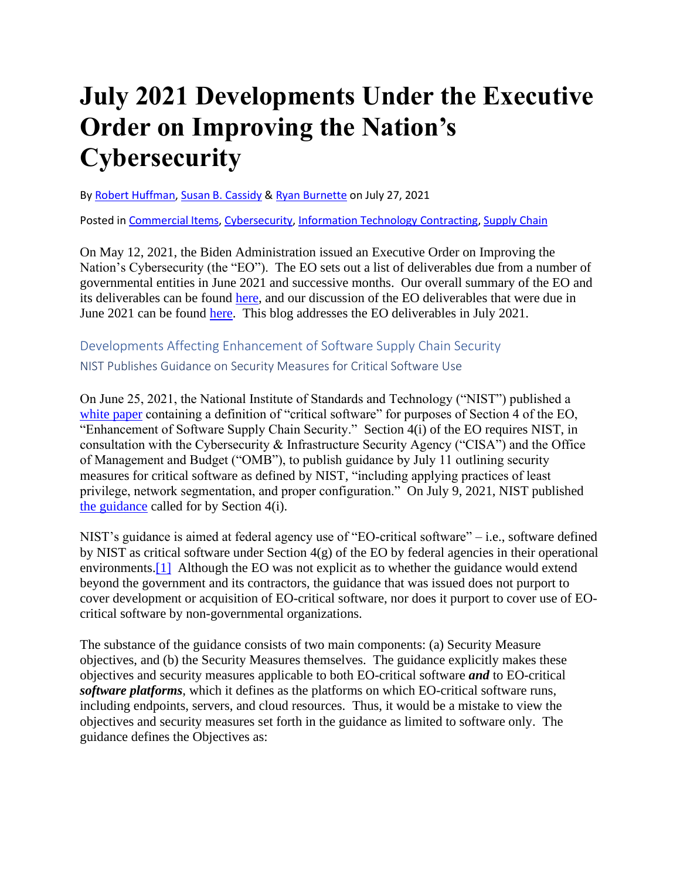# **July 2021 Developments Under the Executive Order on Improving the Nation's Cybersecurity**

B[y Robert Huffman,](https://www.insidegovernmentcontracts.com/author/rhuffman/) [Susan B. Cassidy](https://www.insidegovernmentcontracts.com/author/scassidy/) & [Ryan Burnette](https://www.insidegovernmentcontracts.com/author/rburnette/) on July 27, 2021

Posted in [Commercial Items,](https://www.insidegovernmentcontracts.com/category/commercial-items/) [Cybersecurity,](https://www.insidegovernmentcontracts.com/category/cybersecurity/) [Information Technology Contracting,](https://www.insidegovernmentcontracts.com/category/information-technology-contracting/) [Supply Chain](https://www.insidegovernmentcontracts.com/category/supply-chain/)

On May 12, 2021, the Biden Administration issued an Executive Order on Improving the Nation's Cybersecurity (the "EO"). The EO sets out a list of deliverables due from a number of governmental entities in June 2021 and successive months. Our overall summary of the EO and its deliverables can be found [here,](https://www.insidegovernmentcontracts.com/2021/05/president-biden-signs-executive-order-aimed-at-improving-government-cybersecurity/) and our discussion of the EO deliverables that were due in June 2021 can be found [here.](https://www.insidegovernmentcontracts.com/2021/07/june-2021-developments-under-the-executive-order-on-improving-the-nations-cybersecurity/) This blog addresses the EO deliverables in July 2021.

Developments Affecting Enhancement of Software Supply Chain Security NIST Publishes Guidance on Security Measures for Critical Software Use

On June 25, 2021, the National Institute of Standards and Technology ("NIST") published a [white paper](https://www.nist.gov/system/files/documents/2021/06/25/EO%20Critical%20FINAL_1.pdf) containing a definition of "critical software" for purposes of Section 4 of the EO, "Enhancement of Software Supply Chain Security." Section 4(i) of the EO requires NIST, in consultation with the Cybersecurity & Infrastructure Security Agency ("CISA") and the Office of Management and Budget ("OMB"), to publish guidance by July 11 outlining security measures for critical software as defined by NIST, "including applying practices of least privilege, network segmentation, and proper configuration." On July 9, 2021, NIST published [the guidance](https://www.nist.gov/system/files/documents/2021/07/09/Critical%20Software%20Use%20Security%20Measures%20Guidance.pdf) called for by Section 4(i).

NIST's guidance is aimed at federal agency use of "EO-critical software" – i.e., software defined by NIST as critical software under Section 4(g) of the EO by federal agencies in their operational environments.<sup>[1]</sup> Although the EO was not explicit as to whether the guidance would extend beyond the government and its contractors, the guidance that was issued does not purport to cover development or acquisition of EO-critical software, nor does it purport to cover use of EOcritical software by non-governmental organizations.

The substance of the guidance consists of two main components: (a) Security Measure objectives, and (b) the Security Measures themselves. The guidance explicitly makes these objectives and security measures applicable to both EO-critical software *and* to EO-critical *software platforms*, which it defines as the platforms on which EO-critical software runs, including endpoints, servers, and cloud resources. Thus, it would be a mistake to view the objectives and security measures set forth in the guidance as limited to software only. The guidance defines the Objectives as: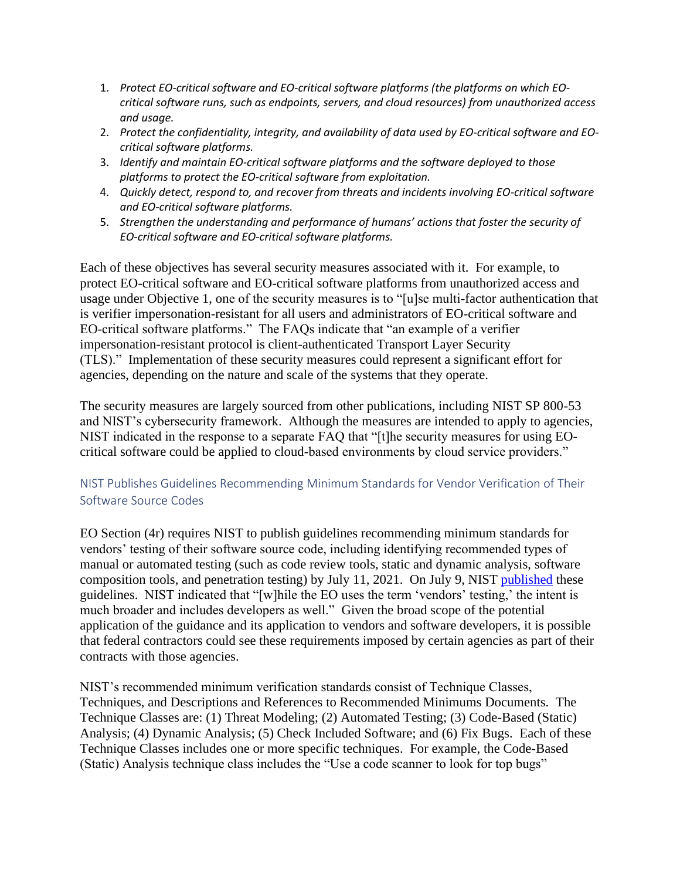- 1. *Protect EO-critical software and EO-critical software platforms (the platforms on which EOcritical software runs, such as endpoints, servers, and cloud resources) from unauthorized access and usage.*
- 2. *Protect the confidentiality, integrity, and availability of data used by EO-critical software and EOcritical software platforms.*
- 3. *Identify and maintain EO-critical software platforms and the software deployed to those platforms to protect the EO-critical software from exploitation.*
- 4. *Quickly detect, respond to, and recover from threats and incidents involving EO-critical software and EO-critical software platforms.*
- 5. *Strengthen the understanding and performance of humans' actions that foster the security of EO-critical software and EO-critical software platforms.*

Each of these objectives has several security measures associated with it. For example, to protect EO-critical software and EO-critical software platforms from unauthorized access and usage under Objective 1, one of the security measures is to "[u]se multi-factor authentication that is verifier impersonation-resistant for all users and administrators of EO-critical software and EO-critical software platforms." The FAQs indicate that "an example of a verifier impersonation-resistant protocol is client-authenticated Transport Layer Security (TLS)." Implementation of these security measures could represent a significant effort for agencies, depending on the nature and scale of the systems that they operate.

The security measures are largely sourced from other publications, including NIST SP 800-53 and NIST's cybersecurity framework. Although the measures are intended to apply to agencies, NIST indicated in the response to a separate FAQ that "[t]he security measures for using EOcritical software could be applied to cloud-based environments by cloud service providers."

### NIST Publishes Guidelines Recommending Minimum Standards for Vendor Verification of Their Software Source Codes

EO Section (4r) requires NIST to publish guidelines recommending minimum standards for vendors' testing of their software source code, including identifying recommended types of manual or automated testing (such as code review tools, static and dynamic analysis, software composition tools, and penetration testing) by July 11, 2021. On July 9, NIST [published](https://www.nist.gov/system/files/documents/2021/07/13/Developer%20Verification%20of%20Software.pdf) these guidelines. NIST indicated that "[w]hile the EO uses the term 'vendors' testing,' the intent is much broader and includes developers as well." Given the broad scope of the potential application of the guidance and its application to vendors and software developers, it is possible that federal contractors could see these requirements imposed by certain agencies as part of their contracts with those agencies.

NIST's recommended minimum verification standards consist of Technique Classes, Techniques, and Descriptions and References to Recommended Minimums Documents. The Technique Classes are: (1) Threat Modeling; (2) Automated Testing; (3) Code-Based (Static) Analysis; (4) Dynamic Analysis; (5) Check Included Software; and (6) Fix Bugs. Each of these Technique Classes includes one or more specific techniques. For example, the Code-Based (Static) Analysis technique class includes the "Use a code scanner to look for top bugs"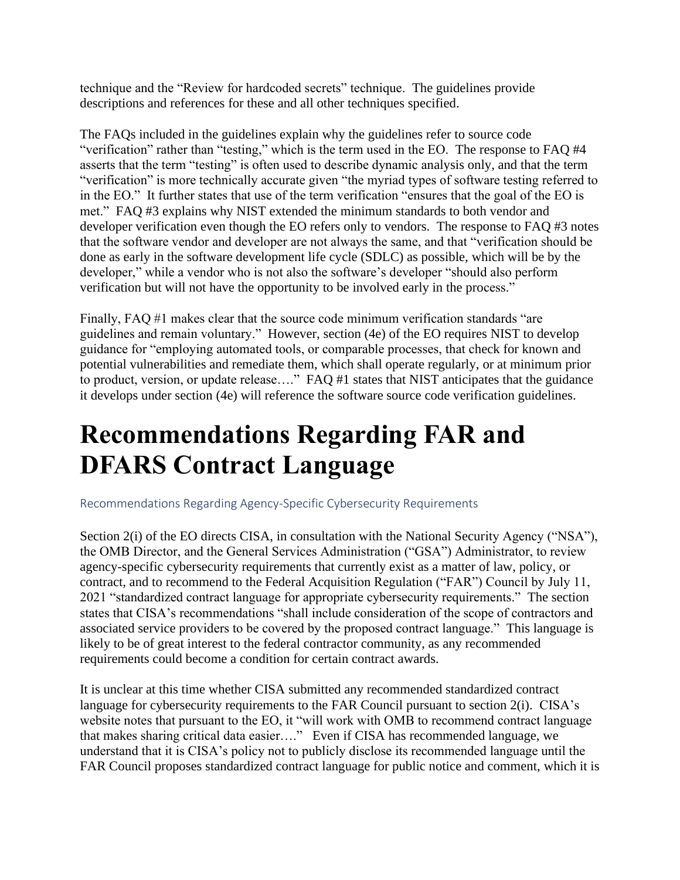technique and the "Review for hardcoded secrets" technique. The guidelines provide descriptions and references for these and all other techniques specified.

The FAQs included in the guidelines explain why the guidelines refer to source code "verification" rather than "testing," which is the term used in the EO. The response to FAQ #4 asserts that the term "testing" is often used to describe dynamic analysis only, and that the term "verification" is more technically accurate given "the myriad types of software testing referred to in the EO." It further states that use of the term verification "ensures that the goal of the EO is met." FAQ #3 explains why NIST extended the minimum standards to both vendor and developer verification even though the EO refers only to vendors. The response to FAQ #3 notes that the software vendor and developer are not always the same, and that "verification should be done as early in the software development life cycle (SDLC) as possible, which will be by the developer," while a vendor who is not also the software's developer "should also perform verification but will not have the opportunity to be involved early in the process."

Finally, FAQ #1 makes clear that the source code minimum verification standards "are guidelines and remain voluntary." However, section (4e) of the EO requires NIST to develop guidance for "employing automated tools, or comparable processes, that check for known and potential vulnerabilities and remediate them, which shall operate regularly, or at minimum prior to product, version, or update release…." FAQ #1 states that NIST anticipates that the guidance it develops under section (4e) will reference the software source code verification guidelines.

### **Recommendations Regarding FAR and DFARS Contract Language**

Recommendations Regarding Agency-Specific Cybersecurity Requirements

Section 2(i) of the EO directs CISA, in consultation with the National Security Agency ("NSA"), the OMB Director, and the General Services Administration ("GSA") Administrator, to review agency-specific cybersecurity requirements that currently exist as a matter of law, policy, or contract, and to recommend to the Federal Acquisition Regulation ("FAR") Council by July 11, 2021 "standardized contract language for appropriate cybersecurity requirements." The section states that CISA's recommendations "shall include consideration of the scope of contractors and associated service providers to be covered by the proposed contract language." This language is likely to be of great interest to the federal contractor community, as any recommended requirements could become a condition for certain contract awards.

It is unclear at this time whether CISA submitted any recommended standardized contract language for cybersecurity requirements to the FAR Council pursuant to section 2(i). CISA's website notes that pursuant to the EO, it "will work with OMB to recommend contract language that makes sharing critical data easier…." Even if CISA has recommended language, we understand that it is CISA's policy not to publicly disclose its recommended language until the FAR Council proposes standardized contract language for public notice and comment, which it is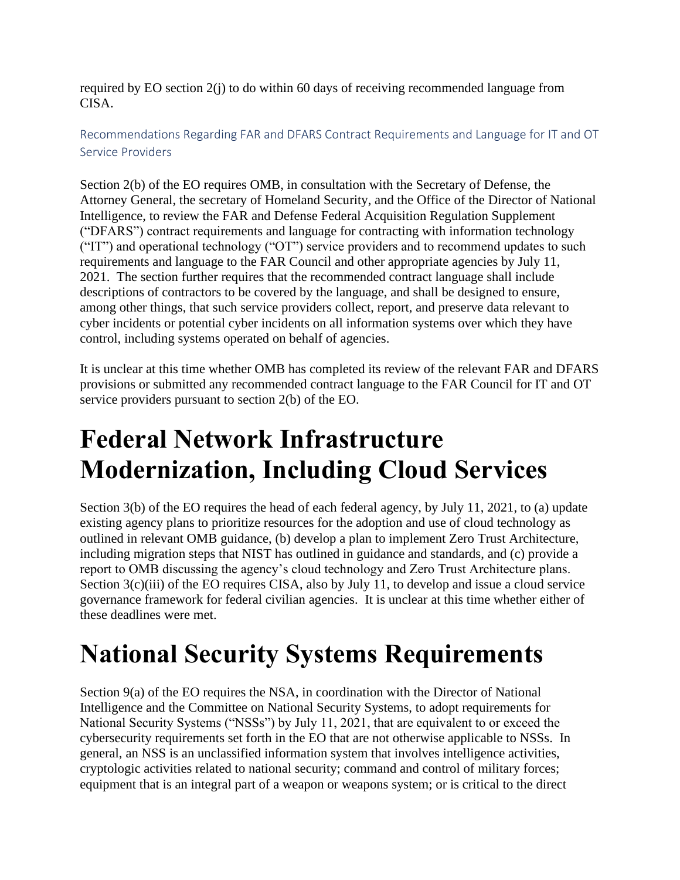required by EO section 2(j) to do within 60 days of receiving recommended language from CISA.

Recommendations Regarding FAR and DFARS Contract Requirements and Language for IT and OT Service Providers

Section 2(b) of the EO requires OMB, in consultation with the Secretary of Defense, the Attorney General, the secretary of Homeland Security, and the Office of the Director of National Intelligence, to review the FAR and Defense Federal Acquisition Regulation Supplement ("DFARS") contract requirements and language for contracting with information technology ("IT") and operational technology ("OT") service providers and to recommend updates to such requirements and language to the FAR Council and other appropriate agencies by July 11, 2021. The section further requires that the recommended contract language shall include descriptions of contractors to be covered by the language, and shall be designed to ensure, among other things, that such service providers collect, report, and preserve data relevant to cyber incidents or potential cyber incidents on all information systems over which they have control, including systems operated on behalf of agencies.

It is unclear at this time whether OMB has completed its review of the relevant FAR and DFARS provisions or submitted any recommended contract language to the FAR Council for IT and OT service providers pursuant to section 2(b) of the EO.

# **Federal Network Infrastructure Modernization, Including Cloud Services**

Section 3(b) of the EO requires the head of each federal agency, by July 11, 2021, to (a) update existing agency plans to prioritize resources for the adoption and use of cloud technology as outlined in relevant OMB guidance, (b) develop a plan to implement Zero Trust Architecture, including migration steps that NIST has outlined in guidance and standards, and (c) provide a report to OMB discussing the agency's cloud technology and Zero Trust Architecture plans. Section 3(c)(iii) of the EO requires CISA, also by July 11, to develop and issue a cloud service governance framework for federal civilian agencies. It is unclear at this time whether either of these deadlines were met.

### **National Security Systems Requirements**

Section 9(a) of the EO requires the NSA, in coordination with the Director of National Intelligence and the Committee on National Security Systems, to adopt requirements for National Security Systems ("NSSs") by July 11, 2021, that are equivalent to or exceed the cybersecurity requirements set forth in the EO that are not otherwise applicable to NSSs. In general, an NSS is an unclassified information system that involves intelligence activities, cryptologic activities related to national security; command and control of military forces; equipment that is an integral part of a weapon or weapons system; or is critical to the direct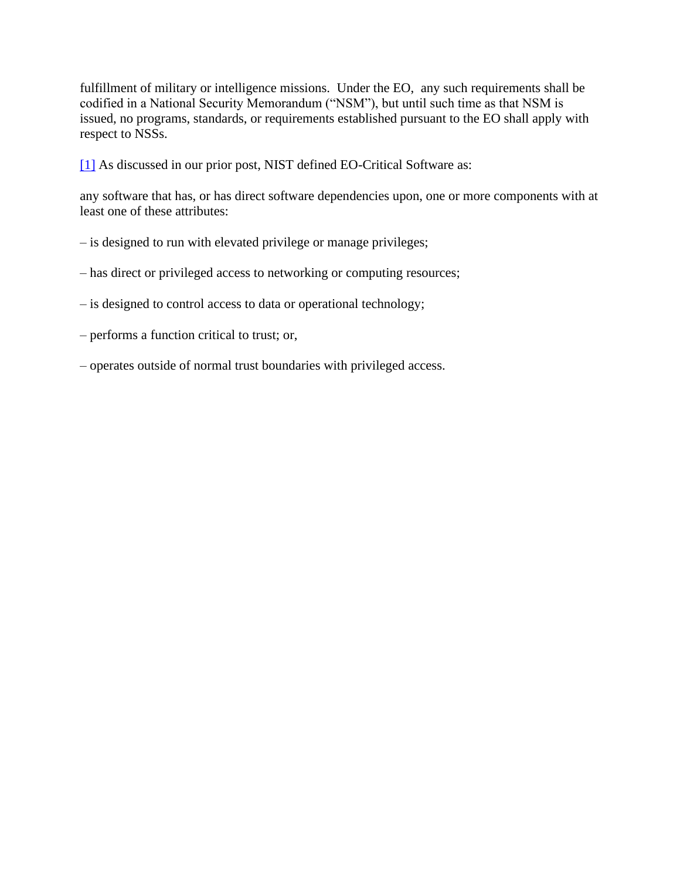fulfillment of military or intelligence missions. Under the EO, any such requirements shall be codified in a National Security Memorandum ("NSM"), but until such time as that NSM is issued, no programs, standards, or requirements established pursuant to the EO shall apply with respect to NSSs.

[\[1\]](https://www.insidegovernmentcontracts.com/2021/07/july-2021-developments-under-the-executive-order-on-improving-the-nations-cybersecurity/#_ftnref1) As discussed in our prior post, NIST defined EO-Critical Software as:

any software that has, or has direct software dependencies upon, one or more components with at least one of these attributes:

- is designed to run with elevated privilege or manage privileges;
- has direct or privileged access to networking or computing resources;
- is designed to control access to data or operational technology;
- performs a function critical to trust; or,
- operates outside of normal trust boundaries with privileged access.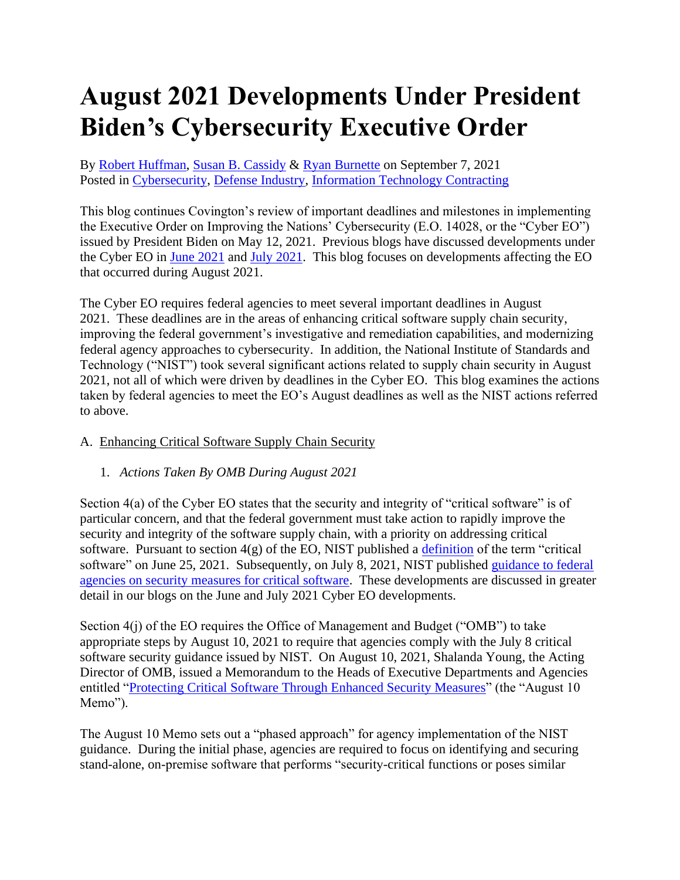# **August 2021 Developments Under President Biden's Cybersecurity Executive Order**

By [Robert Huffman,](https://www.insidegovernmentcontracts.com/author/rhuffman/) [Susan B. Cassidy](https://www.insidegovernmentcontracts.com/author/scassidy/) & [Ryan Burnette](https://www.insidegovernmentcontracts.com/author/rburnette/) on September 7, 2021 Posted in [Cybersecurity,](https://www.insidegovernmentcontracts.com/category/cybersecurity/) [Defense Industry,](https://www.insidegovernmentcontracts.com/category/defense-industry/) [Information Technology Contracting](https://www.insidegovernmentcontracts.com/category/information-technology-contracting/)

This blog continues Covington's review of important deadlines and milestones in implementing the Executive Order on Improving the Nations' Cybersecurity (E.O. 14028, or the "Cyber EO") issued by President Biden on May 12, 2021. Previous blogs have discussed developments under the Cyber EO in [June 2021](https://www.insidegovernmentcontracts.com/2021/07/june-2021-developments-under-the-executive-order-on-improving-the-nations-cybersecurity/) and [July 2021.](https://www.insidegovernmentcontracts.com/2021/07/july-2021-developments-under-the-executive-order-on-improving-the-nations-cybersecurity/) This blog focuses on developments affecting the EO that occurred during August 2021.

The Cyber EO requires federal agencies to meet several important deadlines in August 2021. These deadlines are in the areas of enhancing critical software supply chain security, improving the federal government's investigative and remediation capabilities, and modernizing federal agency approaches to cybersecurity. In addition, the National Institute of Standards and Technology ("NIST") took several significant actions related to supply chain security in August 2021, not all of which were driven by deadlines in the Cyber EO. This blog examines the actions taken by federal agencies to meet the EO's August deadlines as well as the NIST actions referred to above.

#### A. Enhancing Critical Software Supply Chain Security

#### 1. *Actions Taken By OMB During August 2021*

Section 4(a) of the Cyber EO states that the security and integrity of "critical software" is of particular concern, and that the federal government must take action to rapidly improve the security and integrity of the software supply chain, with a priority on addressing critical software. Pursuant to section  $4(g)$  of the EO, NIST published a [definition](https://www.nist.gov/system/files/documents/2021/06/25/EO%20Critical%20FINAL_1.pdf) of the term "critical software" on June 25, 2021. Subsequently, on July 8, 2021, NIST published [guidance to federal](https://www.nist.gov/system/files/documents/2021/06/25/EO%20Critical%20FINAL_1.pdf)  [agencies on security measures for critical software.](https://www.nist.gov/system/files/documents/2021/06/25/EO%20Critical%20FINAL_1.pdf) These developments are discussed in greater detail in our blogs on the June and July 2021 Cyber EO developments.

Section 4(j) of the EO requires the Office of Management and Budget ("OMB") to take appropriate steps by August 10, 2021 to require that agencies comply with the July 8 critical software security guidance issued by NIST. On August 10, 2021, Shalanda Young, the Acting Director of OMB, issued a Memorandum to the Heads of Executive Departments and Agencies entitled ["Protecting Critical Software Through Enhanced Security Measures"](https://www.whitehouse.gov/wp-content/uploads/2021/08/M-21-30.pdf) (the "August 10 Memo").

The August 10 Memo sets out a "phased approach" for agency implementation of the NIST guidance. During the initial phase, agencies are required to focus on identifying and securing stand-alone, on-premise software that performs "security-critical functions or poses similar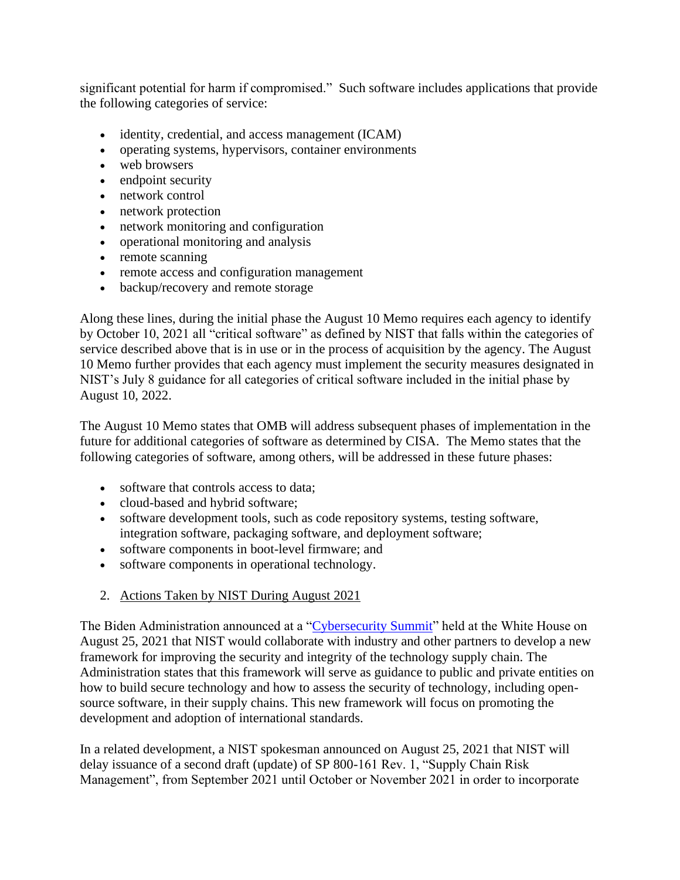significant potential for harm if compromised." Such software includes applications that provide the following categories of service:

- identity, credential, and access management (ICAM)
- operating systems, hypervisors, container environments
- web browsers
- endpoint security
- network control
- network protection
- network monitoring and configuration
- operational monitoring and analysis
- remote scanning
- remote access and configuration management
- backup/recovery and remote storage

Along these lines, during the initial phase the August 10 Memo requires each agency to identify by October 10, 2021 all "critical software" as defined by NIST that falls within the categories of service described above that is in use or in the process of acquisition by the agency. The August 10 Memo further provides that each agency must implement the security measures designated in NIST's July 8 guidance for all categories of critical software included in the initial phase by August 10, 2022.

The August 10 Memo states that OMB will address subsequent phases of implementation in the future for additional categories of software as determined by CISA. The Memo states that the following categories of software, among others, will be addressed in these future phases:

- software that controls access to data;
- cloud-based and hybrid software;
- software development tools, such as code repository systems, testing software, integration software, packaging software, and deployment software;
- software components in boot-level firmware; and
- software components in operational technology.
- 2. Actions Taken by NIST During August 2021

The Biden Administration announced at a ["Cybersecurity Summit"](https://www.whitehouse.gov/briefing-room/statements-releases/2021/04/23/fact-sheet-president-bidens-leaders-summit-on-climate/) held at the White House on August 25, 2021 that NIST would collaborate with industry and other partners to develop a new framework for improving the security and integrity of the technology supply chain. The Administration states that this framework will serve as guidance to public and private entities on how to build secure technology and how to assess the security of technology, including opensource software, in their supply chains. This new framework will focus on promoting the development and adoption of international standards.

In a related development, a NIST spokesman announced on August 25, 2021 that NIST will delay issuance of a second draft (update) of SP 800-161 Rev. 1, "Supply Chain Risk Management", from September 2021 until October or November 2021 in order to incorporate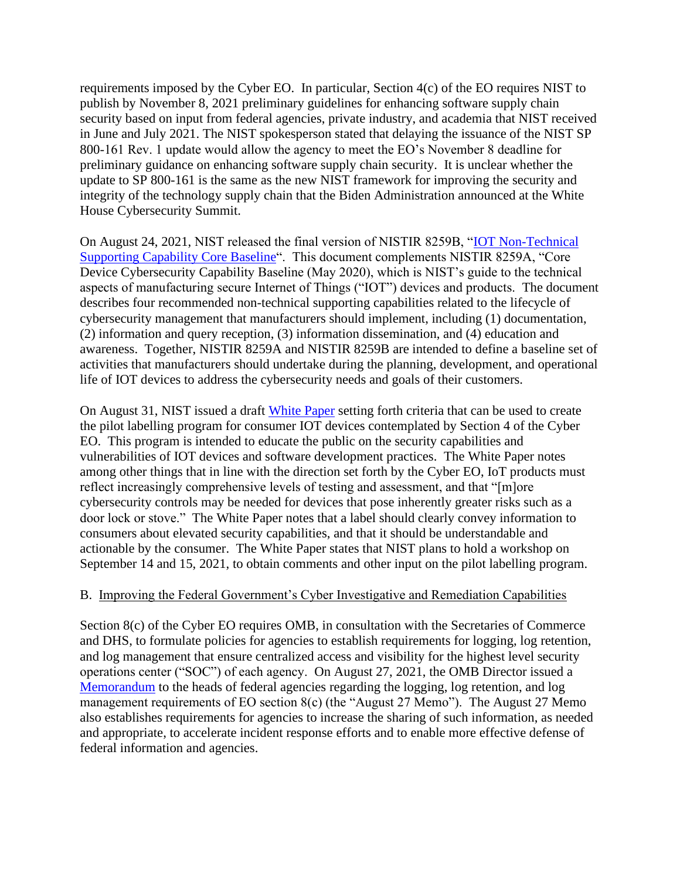requirements imposed by the Cyber EO. In particular, Section 4(c) of the EO requires NIST to publish by November 8, 2021 preliminary guidelines for enhancing software supply chain security based on input from federal agencies, private industry, and academia that NIST received in June and July 2021. The NIST spokesperson stated that delaying the issuance of the NIST SP 800-161 Rev. 1 update would allow the agency to meet the EO's November 8 deadline for preliminary guidance on enhancing software supply chain security. It is unclear whether the update to SP 800-161 is the same as the new NIST framework for improving the security and integrity of the technology supply chain that the Biden Administration announced at the White House Cybersecurity Summit.

On August 24, 2021, NIST released the final version of NISTIR 8259B, ["IOT Non-Technical](https://nvlpubs.nist.gov/nistpubs/ir/2021/NIST.IR.8259B.pdf)  [Supporting Capability Core Baseline"](https://nvlpubs.nist.gov/nistpubs/ir/2021/NIST.IR.8259B.pdf). This document complements NISTIR 8259A, "Core Device Cybersecurity Capability Baseline (May 2020), which is NIST's guide to the technical aspects of manufacturing secure Internet of Things ("IOT") devices and products. The document describes four recommended non-technical supporting capabilities related to the lifecycle of cybersecurity management that manufacturers should implement, including (1) documentation, (2) information and query reception, (3) information dissemination, and (4) education and awareness. Together, NISTIR 8259A and NISTIR 8259B are intended to define a baseline set of activities that manufacturers should undertake during the planning, development, and operational life of IOT devices to address the cybersecurity needs and goals of their customers.

On August 31, NIST issued a draft [White Paper](https://www.nist.gov/system/files/documents/2021/08/31/IoT%20White%20Paper%20-%20Final%202021-08-31.pdf) setting forth criteria that can be used to create the pilot labelling program for consumer IOT devices contemplated by Section 4 of the Cyber EO. This program is intended to educate the public on the security capabilities and vulnerabilities of IOT devices and software development practices. The White Paper notes among other things that in line with the direction set forth by the Cyber EO, IoT products must reflect increasingly comprehensive levels of testing and assessment, and that "[m]ore cybersecurity controls may be needed for devices that pose inherently greater risks such as a door lock or stove." The White Paper notes that a label should clearly convey information to consumers about elevated security capabilities, and that it should be understandable and actionable by the consumer. The White Paper states that NIST plans to hold a workshop on September 14 and 15, 2021, to obtain comments and other input on the pilot labelling program.

#### B. Improving the Federal Government's Cyber Investigative and Remediation Capabilities

Section 8(c) of the Cyber EO requires OMB, in consultation with the Secretaries of Commerce and DHS, to formulate policies for agencies to establish requirements for logging, log retention, and log management that ensure centralized access and visibility for the highest level security operations center ("SOC") of each agency. On August 27, 2021, the OMB Director issued a [Memorandum](https://www.whitehouse.gov/wp-content/uploads/2021/08/M-21-31-Improving-the-Federal-Governments-Investigative-and-Remediation-Capabilities-Related-to-Cybersecurity-Incidents.pdf) to the heads of federal agencies regarding the logging, log retention, and log management requirements of EO section 8(c) (the "August 27 Memo"). The August 27 Memo also establishes requirements for agencies to increase the sharing of such information, as needed and appropriate, to accelerate incident response efforts and to enable more effective defense of federal information and agencies.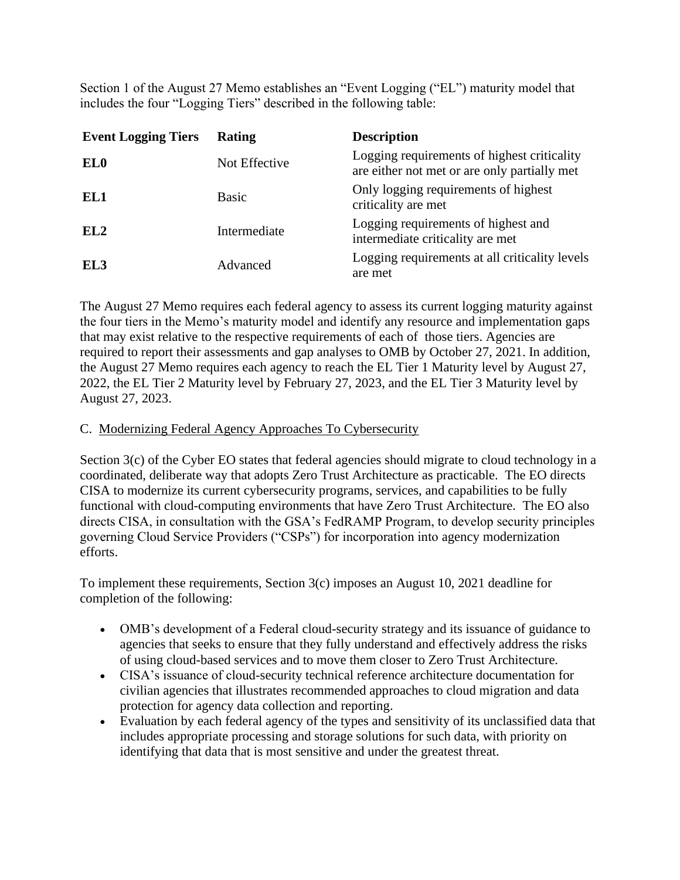Section 1 of the August 27 Memo establishes an "Event Logging ("EL") maturity model that includes the four "Logging Tiers" described in the following table:

| <b>Event Logging Tiers</b> | <b>Rating</b> | <b>Description</b>                                                                          |
|----------------------------|---------------|---------------------------------------------------------------------------------------------|
| EL <sub>0</sub>            | Not Effective | Logging requirements of highest criticality<br>are either not met or are only partially met |
| EL1                        | <b>Basic</b>  | Only logging requirements of highest<br>criticality are met                                 |
| EL <sub>2</sub>            | Intermediate  | Logging requirements of highest and<br>intermediate criticality are met                     |
| EL <sub>3</sub>            | Advanced      | Logging requirements at all criticality levels<br>are met                                   |

The August 27 Memo requires each federal agency to assess its current logging maturity against the four tiers in the Memo's maturity model and identify any resource and implementation gaps that may exist relative to the respective requirements of each of those tiers. Agencies are required to report their assessments and gap analyses to OMB by October 27, 2021. In addition, the August 27 Memo requires each agency to reach the EL Tier 1 Maturity level by August 27, 2022, the EL Tier 2 Maturity level by February 27, 2023, and the EL Tier 3 Maturity level by August 27, 2023.

#### C. Modernizing Federal Agency Approaches To Cybersecurity

Section 3(c) of the Cyber EO states that federal agencies should migrate to cloud technology in a coordinated, deliberate way that adopts Zero Trust Architecture as practicable. The EO directs CISA to modernize its current cybersecurity programs, services, and capabilities to be fully functional with cloud-computing environments that have Zero Trust Architecture. The EO also directs CISA, in consultation with the GSA's FedRAMP Program, to develop security principles governing Cloud Service Providers ("CSPs") for incorporation into agency modernization efforts.

To implement these requirements, Section 3(c) imposes an August 10, 2021 deadline for completion of the following:

- OMB's development of a Federal cloud-security strategy and its issuance of guidance to agencies that seeks to ensure that they fully understand and effectively address the risks of using cloud-based services and to move them closer to Zero Trust Architecture.
- CISA's issuance of cloud-security technical reference architecture documentation for civilian agencies that illustrates recommended approaches to cloud migration and data protection for agency data collection and reporting.
- Evaluation by each federal agency of the types and sensitivity of its unclassified data that includes appropriate processing and storage solutions for such data, with priority on identifying that data that is most sensitive and under the greatest threat.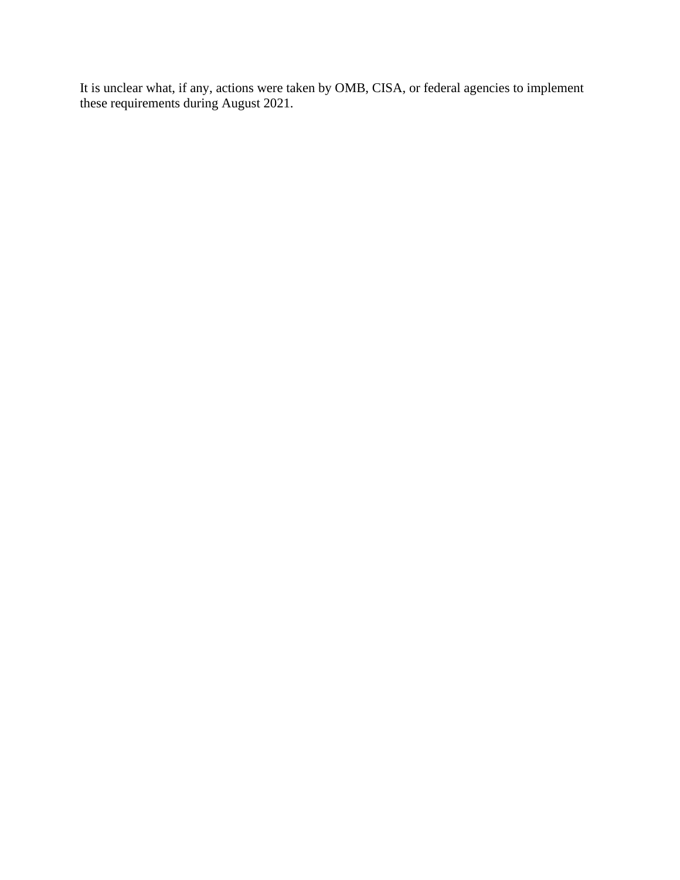It is unclear what, if any, actions were taken by OMB, CISA, or federal agencies to implement these requirements during August 2021.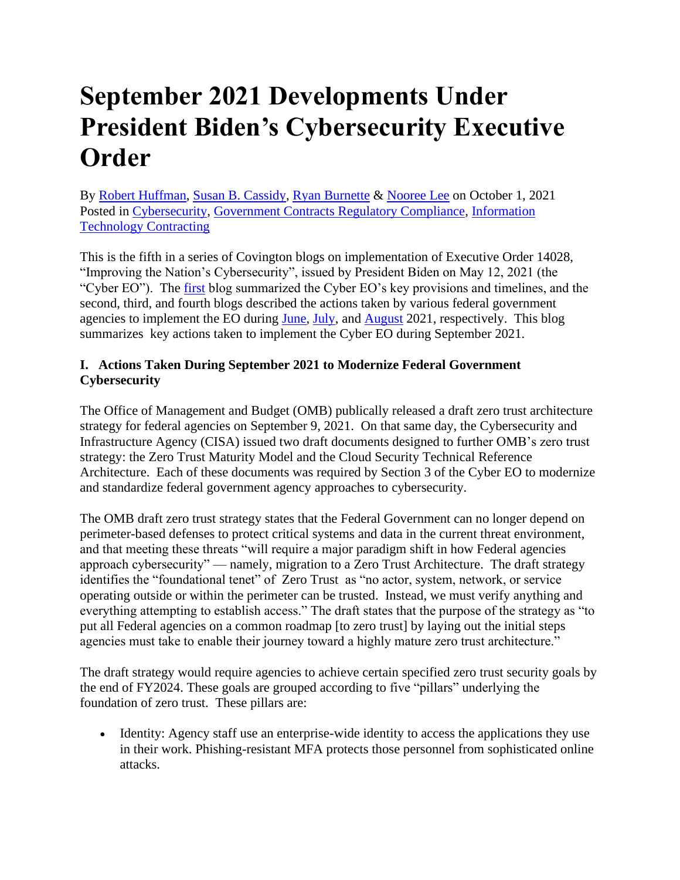### **September 2021 Developments Under President Biden's Cybersecurity Executive Order**

By [Robert Huffman,](https://www.insidegovernmentcontracts.com/author/rhuffman/) [Susan B. Cassidy,](https://www.insidegovernmentcontracts.com/author/scassidy/) [Ryan Burnette](https://www.insidegovernmentcontracts.com/author/rburnette/) & [Nooree Lee](https://www.insidegovernmentcontracts.com/author/nlee/) on October 1, 2021 Posted in [Cybersecurity,](https://www.insidegovernmentcontracts.com/category/cybersecurity/) [Government Contracts Regulatory Compliance,](https://www.insidegovernmentcontracts.com/category/government-contracts-regulatory-compliance/) [Information](https://www.insidegovernmentcontracts.com/category/information-technology-contracting/)  [Technology Contracting](https://www.insidegovernmentcontracts.com/category/information-technology-contracting/)

This is the fifth in a series of Covington blogs on implementation of Executive Order 14028, "Improving the Nation's Cybersecurity", issued by President Biden on May 12, 2021 (the "Cyber EO"). The [first](https://www.insidegovernmentcontracts.com/2021/05/president-biden-signs-executive-order-aimed-at-improving-government-cybersecurity/) blog summarized the Cyber EO's key provisions and timelines, and the second, third, and fourth blogs described the actions taken by various federal government agencies to implement the EO during [June,](https://www.insidegovernmentcontracts.com/2021/07/june-2021-developments-under-the-executive-order-on-improving-the-nations-cybersecurity/) [July,](https://www.insidegovernmentcontracts.com/2021/07/july-2021-developments-under-the-executive-order-on-improving-the-nations-cybersecurity/) and [August](https://www.insidegovernmentcontracts.com/2021/09/august-2021-developments-under-president-bidens-cybersecurity-executive-order/) 2021, respectively. This blog summarizes key actions taken to implement the Cyber EO during September 2021.

#### **I. Actions Taken During September 2021 to Modernize Federal Government Cybersecurity**

The Office of Management and Budget (OMB) publically released a draft zero trust architecture strategy for federal agencies on September 9, 2021. On that same day, the Cybersecurity and Infrastructure Agency (CISA) issued two draft documents designed to further OMB's zero trust strategy: the Zero Trust Maturity Model and the Cloud Security Technical Reference Architecture. Each of these documents was required by Section 3 of the Cyber EO to modernize and standardize federal government agency approaches to cybersecurity.

The OMB draft zero trust strategy states that the Federal Government can no longer depend on perimeter-based defenses to protect critical systems and data in the current threat environment, and that meeting these threats "will require a major paradigm shift in how Federal agencies approach cybersecurity" — namely, migration to a Zero Trust Architecture. The draft strategy identifies the "foundational tenet" of Zero Trust as "no actor, system, network, or service operating outside or within the perimeter can be trusted. Instead, we must verify anything and everything attempting to establish access." The draft states that the purpose of the strategy as "to put all Federal agencies on a common roadmap [to zero trust] by laying out the initial steps agencies must take to enable their journey toward a highly mature zero trust architecture."

The draft strategy would require agencies to achieve certain specified zero trust security goals by the end of FY2024. These goals are grouped according to five "pillars" underlying the foundation of zero trust. These pillars are:

• Identity: Agency staff use an enterprise-wide identity to access the applications they use in their work. Phishing-resistant MFA protects those personnel from sophisticated online attacks.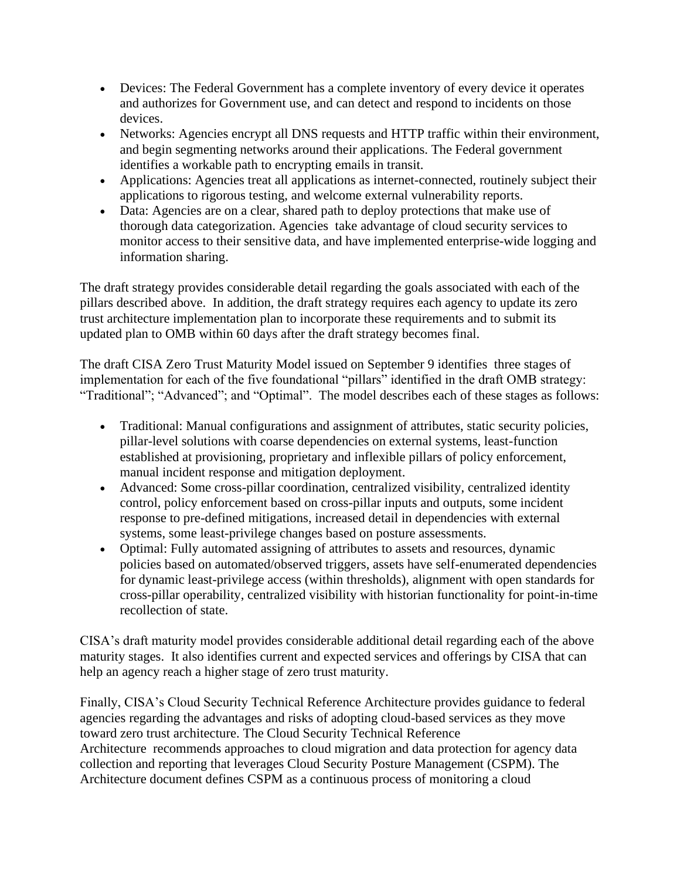- Devices: The Federal Government has a complete inventory of every device it operates and authorizes for Government use, and can detect and respond to incidents on those devices.
- Networks: Agencies encrypt all DNS requests and HTTP traffic within their environment, and begin segmenting networks around their applications. The Federal government identifies a workable path to encrypting emails in transit.
- Applications: Agencies treat all applications as internet-connected, routinely subject their applications to rigorous testing, and welcome external vulnerability reports.
- Data: Agencies are on a clear, shared path to deploy protections that make use of thorough data categorization. Agencies take advantage of cloud security services to monitor access to their sensitive data, and have implemented enterprise-wide logging and information sharing.

The draft strategy provides considerable detail regarding the goals associated with each of the pillars described above. In addition, the draft strategy requires each agency to update its zero trust architecture implementation plan to incorporate these requirements and to submit its updated plan to OMB within 60 days after the draft strategy becomes final.

The draft CISA Zero Trust Maturity Model issued on September 9 identifies three stages of implementation for each of the five foundational "pillars" identified in the draft OMB strategy: "Traditional"; "Advanced"; and "Optimal". The model describes each of these stages as follows:

- Traditional: Manual configurations and assignment of attributes, static security policies, pillar-level solutions with coarse dependencies on external systems, least-function established at provisioning, proprietary and inflexible pillars of policy enforcement, manual incident response and mitigation deployment.
- Advanced: Some cross-pillar coordination, centralized visibility, centralized identity control, policy enforcement based on cross-pillar inputs and outputs, some incident response to pre-defined mitigations, increased detail in dependencies with external systems, some least-privilege changes based on posture assessments.
- Optimal: Fully automated assigning of attributes to assets and resources, dynamic policies based on automated/observed triggers, assets have self-enumerated dependencies for dynamic least-privilege access (within thresholds), alignment with open standards for cross-pillar operability, centralized visibility with historian functionality for point-in-time recollection of state.

CISA's draft maturity model provides considerable additional detail regarding each of the above maturity stages. It also identifies current and expected services and offerings by CISA that can help an agency reach a higher stage of zero trust maturity.

Finally, CISA's Cloud Security Technical Reference Architecture provides guidance to federal agencies regarding the advantages and risks of adopting cloud-based services as they move toward zero trust architecture. The Cloud Security Technical Reference Architecture recommends approaches to cloud migration and data protection for agency data collection and reporting that leverages Cloud Security Posture Management (CSPM). The Architecture document defines CSPM as a continuous process of monitoring a cloud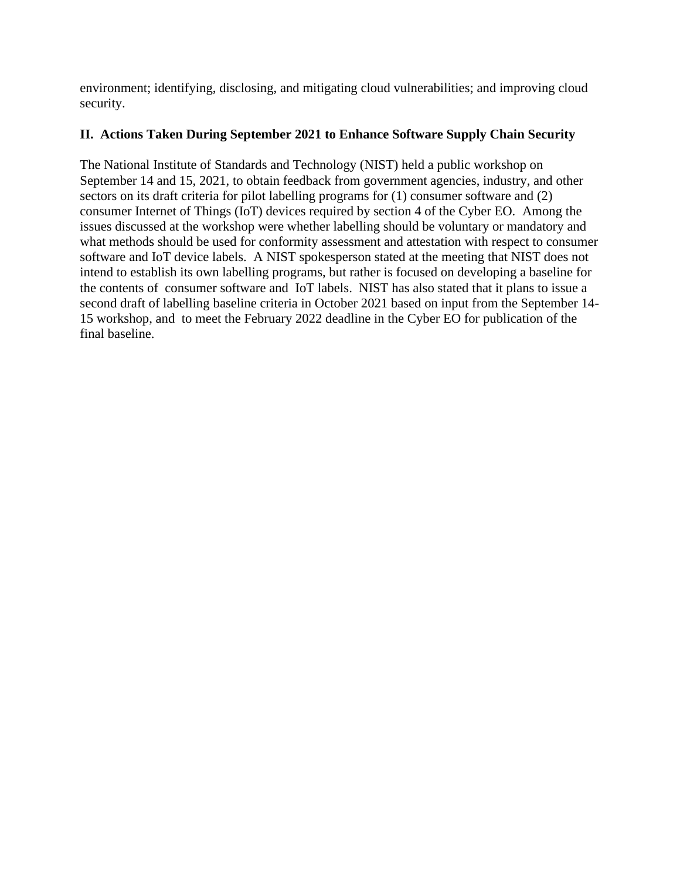environment; identifying, disclosing, and mitigating cloud vulnerabilities; and improving cloud security.

#### **II. Actions Taken During September 2021 to Enhance Software Supply Chain Security**

The National Institute of Standards and Technology (NIST) held a public workshop on September 14 and 15, 2021, to obtain feedback from government agencies, industry, and other sectors on its draft criteria for pilot labelling programs for (1) consumer software and (2) consumer Internet of Things (IoT) devices required by section 4 of the Cyber EO. Among the issues discussed at the workshop were whether labelling should be voluntary or mandatory and what methods should be used for conformity assessment and attestation with respect to consumer software and IoT device labels. A NIST spokesperson stated at the meeting that NIST does not intend to establish its own labelling programs, but rather is focused on developing a baseline for the contents of consumer software and IoT labels. NIST has also stated that it plans to issue a second draft of labelling baseline criteria in October 2021 based on input from the September 14- 15 workshop, and to meet the February 2022 deadline in the Cyber EO for publication of the final baseline.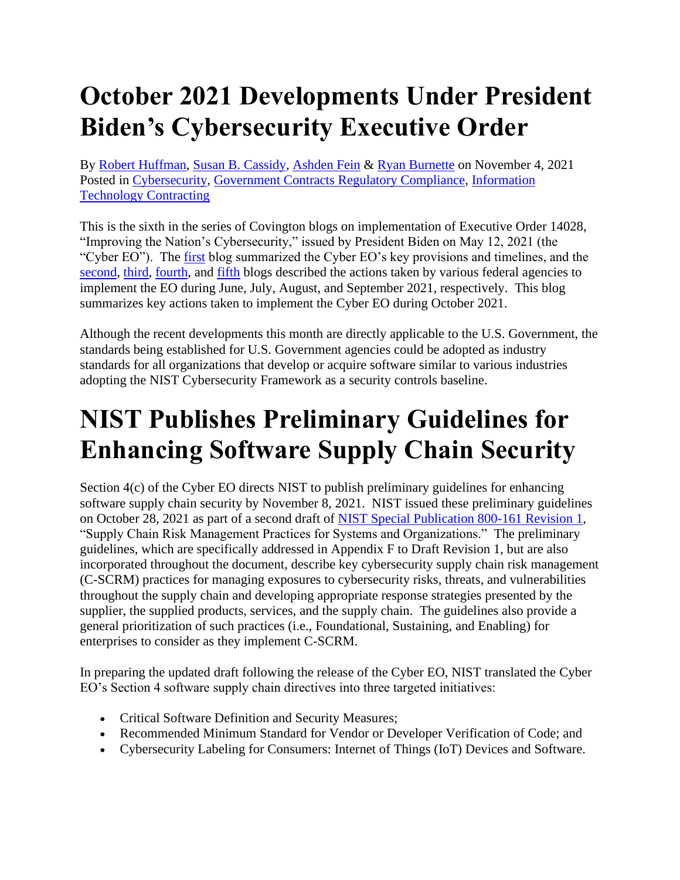# **October 2021 Developments Under President Biden's Cybersecurity Executive Order**

By [Robert Huffman,](https://www.insidegovernmentcontracts.com/author/rhuffman/) [Susan B. Cassidy,](https://www.insidegovernmentcontracts.com/author/scassidy/) [Ashden Fein](https://www.insidegovernmentcontracts.com/author/afein/) & [Ryan Burnette](https://www.insidegovernmentcontracts.com/author/rburnette/) on November 4, 2021 Posted in [Cybersecurity,](https://www.insidegovernmentcontracts.com/category/cybersecurity/) [Government Contracts Regulatory Compliance,](https://www.insidegovernmentcontracts.com/category/government-contracts-regulatory-compliance/) [Information](https://www.insidegovernmentcontracts.com/category/information-technology-contracting/)  [Technology Contracting](https://www.insidegovernmentcontracts.com/category/information-technology-contracting/)

This is the sixth in the series of Covington blogs on implementation of Executive Order 14028, "Improving the Nation's Cybersecurity," issued by President Biden on May 12, 2021 (the "Cyber EO"). The [first](https://www.insidegovernmentcontracts.com/2021/05/president-biden-signs-executive-order-aimed-at-improving-government-cybersecurity/) blog summarized the Cyber EO's key provisions and timelines, and the [second,](https://www.insidegovernmentcontracts.com/2021/07/june-2021-developments-under-the-executive-order-on-improving-the-nations-cybersecurity/) [third,](https://www.insidegovernmentcontracts.com/2021/07/july-2021-developments-under-the-executive-order-on-improving-the-nations-cybersecurity/) [fourth,](https://www.insidegovernmentcontracts.com/2021/09/august-2021-developments-under-president-bidens-cybersecurity-executive-order/) and [fifth](https://www.insidegovernmentcontracts.com/2021/10/september-2021-developments-under-president-bidens-cybersecurity-executive-order/) blogs described the actions taken by various federal agencies to implement the EO during June, July, August, and September 2021, respectively. This blog summarizes key actions taken to implement the Cyber EO during October 2021.

Although the recent developments this month are directly applicable to the U.S. Government, the standards being established for U.S. Government agencies could be adopted as industry standards for all organizations that develop or acquire software similar to various industries adopting the NIST Cybersecurity Framework as a security controls baseline.

# **NIST Publishes Preliminary Guidelines for Enhancing Software Supply Chain Security**

Section 4(c) of the Cyber EO directs NIST to publish preliminary guidelines for enhancing software supply chain security by November 8, 2021. NIST issued these preliminary guidelines on October 28, 2021 as part of a second draft of [NIST Special Publication 800-161 Revision 1,](https://nvlpubs.nist.gov/nistpubs/SpecialPublications/NIST.SP.800-161r1-draft2.pdf) "Supply Chain Risk Management Practices for Systems and Organizations." The preliminary guidelines, which are specifically addressed in Appendix F to Draft Revision 1, but are also incorporated throughout the document, describe key cybersecurity supply chain risk management (C-SCRM) practices for managing exposures to cybersecurity risks, threats, and vulnerabilities throughout the supply chain and developing appropriate response strategies presented by the supplier, the supplied products, services, and the supply chain. The guidelines also provide a general prioritization of such practices (i.e., Foundational, Sustaining, and Enabling) for enterprises to consider as they implement C-SCRM.

In preparing the updated draft following the release of the Cyber EO, NIST translated the Cyber EO's Section 4 software supply chain directives into three targeted initiatives:

- Critical Software Definition and Security Measures;
- Recommended Minimum Standard for Vendor or Developer Verification of Code; and
- Cybersecurity Labeling for Consumers: Internet of Things (IoT) Devices and Software.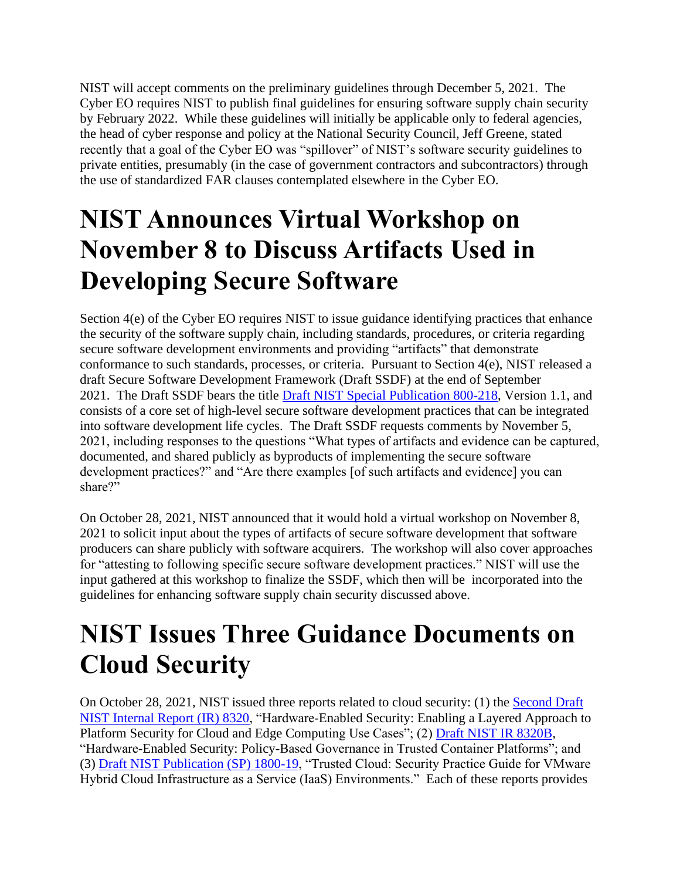NIST will accept comments on the preliminary guidelines through December 5, 2021. The Cyber EO requires NIST to publish final guidelines for ensuring software supply chain security by February 2022. While these guidelines will initially be applicable only to federal agencies, the head of cyber response and policy at the National Security Council, Jeff Greene, stated recently that a goal of the Cyber EO was "spillover" of NIST's software security guidelines to private entities, presumably (in the case of government contractors and subcontractors) through the use of standardized FAR clauses contemplated elsewhere in the Cyber EO.

# **NIST Announces Virtual Workshop on November 8 to Discuss Artifacts Used in Developing Secure Software**

Section 4(e) of the Cyber EO requires NIST to issue guidance identifying practices that enhance the security of the software supply chain, including standards, procedures, or criteria regarding secure software development environments and providing "artifacts" that demonstrate conformance to such standards, processes, or criteria. Pursuant to Section 4(e), NIST released a draft Secure Software Development Framework (Draft SSDF) at the end of September 2021. The Draft SSDF bears the title [Draft NIST Special Publication 800-218,](https://nvlpubs.nist.gov/nistpubs/SpecialPublications/NIST.SP.800-218-draft.pdf) Version 1.1, and consists of a core set of high-level secure software development practices that can be integrated into software development life cycles. The Draft SSDF requests comments by November 5, 2021, including responses to the questions "What types of artifacts and evidence can be captured, documented, and shared publicly as byproducts of implementing the secure software development practices?" and "Are there examples [of such artifacts and evidence] you can share?"

On October 28, 2021, NIST announced that it would hold a virtual workshop on November 8, 2021 to solicit input about the types of artifacts of secure software development that software producers can share publicly with software acquirers. The workshop will also cover approaches for "attesting to following specific secure software development practices." NIST will use the input gathered at this workshop to finalize the SSDF, which then will be incorporated into the guidelines for enhancing software supply chain security discussed above.

# **NIST Issues Three Guidance Documents on Cloud Security**

On October 28, 2021, NIST issued three reports related to cloud security: (1) the [Second Draft](https://nvlpubs.nist.gov/nistpubs/ir/2021/NIST.IR.8320-draft2.pdf)  [NIST Internal Report \(IR\) 8320,](https://nvlpubs.nist.gov/nistpubs/ir/2021/NIST.IR.8320-draft2.pdf) "Hardware-Enabled Security: Enabling a Layered Approach to Platform Security for Cloud and Edge Computing Use Cases"; (2) [Draft NIST IR 8320B,](https://nvlpubs.nist.gov/nistpubs/ir/2021/NIST.IR.8320B-draft.pdf) "Hardware-Enabled Security: Policy-Based Governance in Trusted Container Platforms"; and (3) [Draft NIST Publication \(SP\) 1800-19,](https://www.nccoe.nist.gov/sites/default/files/library/sp1800/tc-nist-sp1800-19-draft2.pdf) "Trusted Cloud: Security Practice Guide for VMware Hybrid Cloud Infrastructure as a Service (IaaS) Environments." Each of these reports provides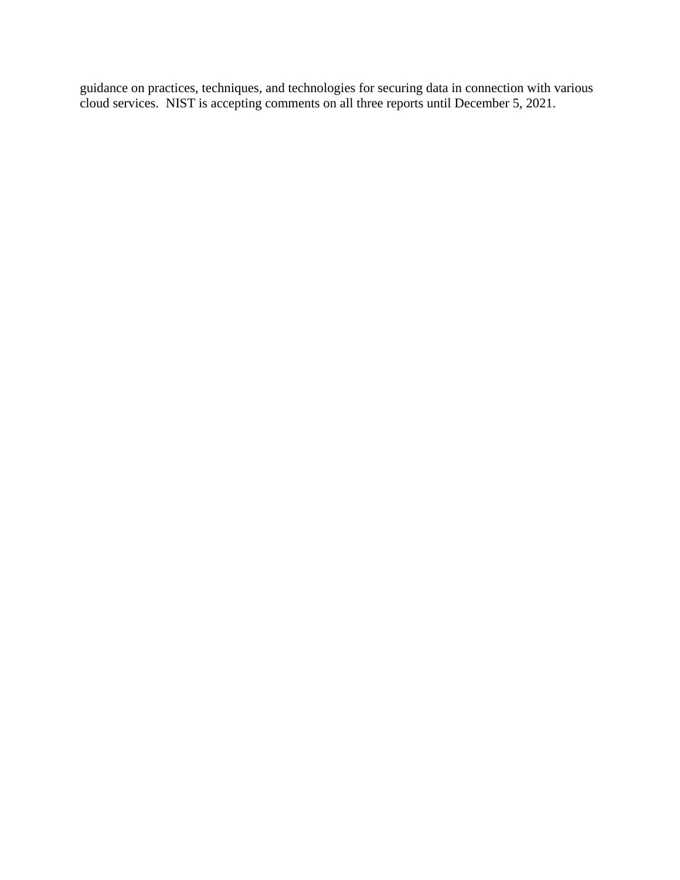guidance on practices, techniques, and technologies for securing data in connection with various cloud services. NIST is accepting comments on all three reports until December 5, 2021.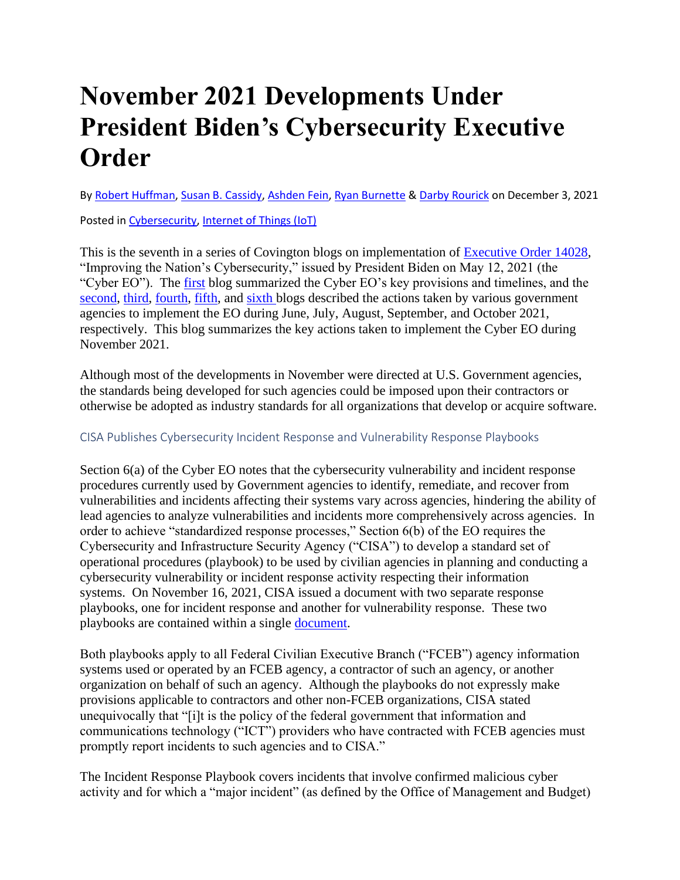# **November 2021 Developments Under President Biden's Cybersecurity Executive Order**

B[y Robert Huffman,](https://www.insidegovernmentcontracts.com/author/rhuffman/) [Susan B. Cassidy,](https://www.insidegovernmentcontracts.com/author/scassidy/) [Ashden Fein,](https://www.insidegovernmentcontracts.com/author/afein/) [Ryan Burnette](https://www.insidegovernmentcontracts.com/author/rburnette/) & [Darby Rourick](https://www.insidegovernmentcontracts.com/author/drourick/) on December 3, 2021

Posted in [Cybersecurity,](https://www.insidegovernmentcontracts.com/category/cybersecurity/) [Internet of Things \(IoT\)](https://www.insidegovernmentcontracts.com/category/internet-of-things/)

This is the seventh in a series of Covington blogs on implementation of [Executive Order 14028,](https://www.whitehouse.gov/briefing-room/presidential-actions/2021/05/12/executive-order-on-improving-the-nations-cybersecurity/) "Improving the Nation's Cybersecurity," issued by President Biden on May 12, 2021 (the "Cyber EO"). The [first](https://www.insidegovernmentcontracts.com/2021/05/president-biden-signs-executive-order-aimed-at-improving-government-cybersecurity/) blog summarized the Cyber EO's key provisions and timelines, and the [second,](https://www.insidegovernmentcontracts.com/2021/07/june-2021-developments-under-the-executive-order-on-improving-the-nations-cybersecurity/) [third,](https://www.insidegovernmentcontracts.com/2021/07/july-2021-developments-under-the-executive-order-on-improving-the-nations-cybersecurity/) [fourth,](https://www.insidegovernmentcontracts.com/2021/09/august-2021-developments-under-president-bidens-cybersecurity-executive-order/) [fifth,](https://www.insidegovernmentcontracts.com/2021/10/september-2021-developments-under-president-bidens-cybersecurity-executive-order/) and [sixth b](https://www.insidegovernmentcontracts.com/2021/11/october-2021-developments-under-president-bidens-cybersecurity-executive-order/)logs described the actions taken by various government agencies to implement the EO during June, July, August, September, and October 2021, respectively. This blog summarizes the key actions taken to implement the Cyber EO during November 2021.

Although most of the developments in November were directed at U.S. Government agencies, the standards being developed for such agencies could be imposed upon their contractors or otherwise be adopted as industry standards for all organizations that develop or acquire software.

#### CISA Publishes Cybersecurity Incident Response and Vulnerability Response Playbooks

Section 6(a) of the Cyber EO notes that the cybersecurity vulnerability and incident response procedures currently used by Government agencies to identify, remediate, and recover from vulnerabilities and incidents affecting their systems vary across agencies, hindering the ability of lead agencies to analyze vulnerabilities and incidents more comprehensively across agencies. In order to achieve "standardized response processes," Section 6(b) of the EO requires the Cybersecurity and Infrastructure Security Agency ("CISA") to develop a standard set of operational procedures (playbook) to be used by civilian agencies in planning and conducting a cybersecurity vulnerability or incident response activity respecting their information systems. On November 16, 2021, CISA issued a document with two separate response playbooks, one for incident response and another for vulnerability response. These two playbooks are contained within a single [document.](https://www.cisa.gov/sites/default/files/publications/Federal_Government_Cybersecurity_Incident_and_Vulnerability_Response_Playbooks_508C.pdf)

Both playbooks apply to all Federal Civilian Executive Branch ("FCEB") agency information systems used or operated by an FCEB agency, a contractor of such an agency, or another organization on behalf of such an agency. Although the playbooks do not expressly make provisions applicable to contractors and other non-FCEB organizations, CISA stated unequivocally that "[i]t is the policy of the federal government that information and communications technology ("ICT") providers who have contracted with FCEB agencies must promptly report incidents to such agencies and to CISA."

The Incident Response Playbook covers incidents that involve confirmed malicious cyber activity and for which a "major incident" (as defined by the Office of Management and Budget)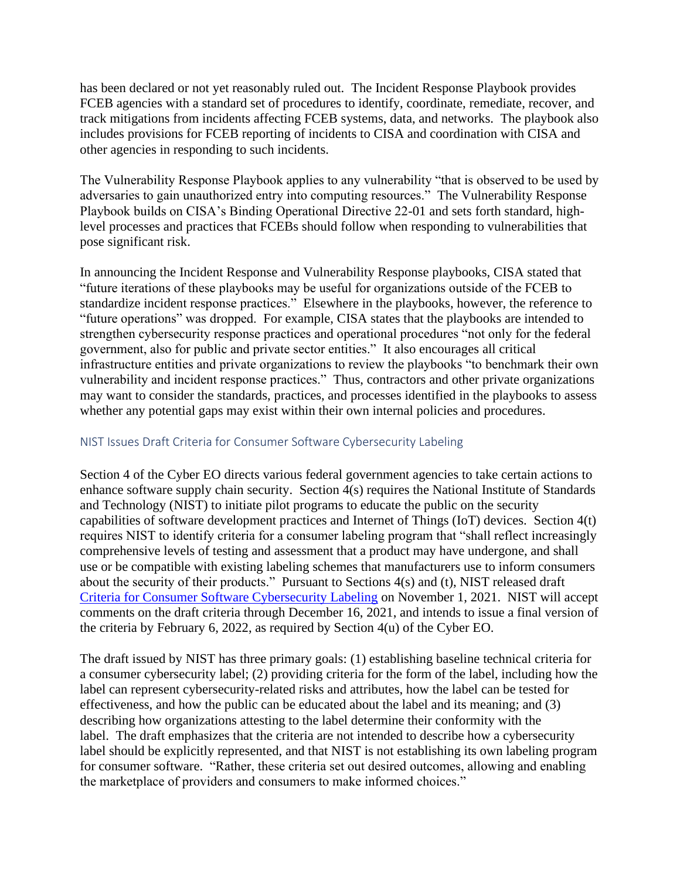has been declared or not yet reasonably ruled out. The Incident Response Playbook provides FCEB agencies with a standard set of procedures to identify, coordinate, remediate, recover, and track mitigations from incidents affecting FCEB systems, data, and networks. The playbook also includes provisions for FCEB reporting of incidents to CISA and coordination with CISA and other agencies in responding to such incidents.

The Vulnerability Response Playbook applies to any vulnerability "that is observed to be used by adversaries to gain unauthorized entry into computing resources." The Vulnerability Response Playbook builds on CISA's Binding Operational Directive 22-01 and sets forth standard, highlevel processes and practices that FCEBs should follow when responding to vulnerabilities that pose significant risk.

In announcing the Incident Response and Vulnerability Response playbooks, CISA stated that "future iterations of these playbooks may be useful for organizations outside of the FCEB to standardize incident response practices." Elsewhere in the playbooks, however, the reference to "future operations" was dropped. For example, CISA states that the playbooks are intended to strengthen cybersecurity response practices and operational procedures "not only for the federal government, also for public and private sector entities." It also encourages all critical infrastructure entities and private organizations to review the playbooks "to benchmark their own vulnerability and incident response practices." Thus, contractors and other private organizations may want to consider the standards, practices, and processes identified in the playbooks to assess whether any potential gaps may exist within their own internal policies and procedures.

#### NIST Issues Draft Criteria for Consumer Software Cybersecurity Labeling

Section 4 of the Cyber EO directs various federal government agencies to take certain actions to enhance software supply chain security. Section 4(s) requires the National Institute of Standards and Technology (NIST) to initiate pilot programs to educate the public on the security capabilities of software development practices and Internet of Things (IoT) devices. Section 4(t) requires NIST to identify criteria for a consumer labeling program that "shall reflect increasingly comprehensive levels of testing and assessment that a product may have undergone, and shall use or be compatible with existing labeling schemes that manufacturers use to inform consumers about the security of their products." Pursuant to Sections 4(s) and (t), NIST released draft [Criteria for Consumer Software Cybersecurity Labeling](https://www.nist.gov/system/files/documents/2021/11/01/Draft%20Consumer%20Software%20Labeling.pdf) on November 1, 2021. NIST will accept comments on the draft criteria through December 16, 2021, and intends to issue a final version of the criteria by February 6, 2022, as required by Section 4(u) of the Cyber EO.

The draft issued by NIST has three primary goals: (1) establishing baseline technical criteria for a consumer cybersecurity label; (2) providing criteria for the form of the label, including how the label can represent cybersecurity-related risks and attributes, how the label can be tested for effectiveness, and how the public can be educated about the label and its meaning; and (3) describing how organizations attesting to the label determine their conformity with the label. The draft emphasizes that the criteria are not intended to describe how a cybersecurity label should be explicitly represented, and that NIST is not establishing its own labeling program for consumer software. "Rather, these criteria set out desired outcomes, allowing and enabling the marketplace of providers and consumers to make informed choices."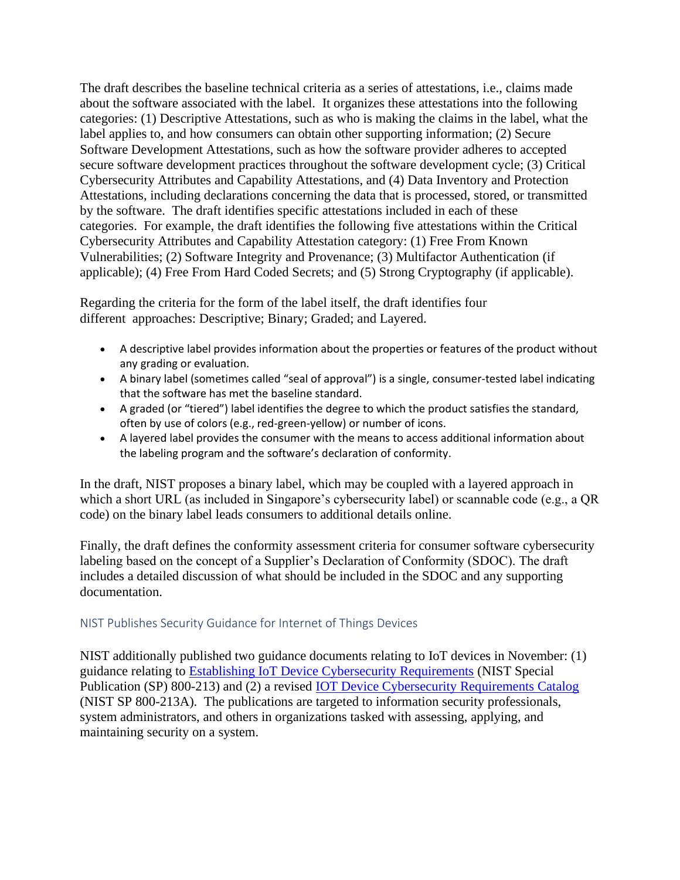The draft describes the baseline technical criteria as a series of attestations, i.e., claims made about the software associated with the label. It organizes these attestations into the following categories: (1) Descriptive Attestations, such as who is making the claims in the label, what the label applies to, and how consumers can obtain other supporting information; (2) Secure Software Development Attestations, such as how the software provider adheres to accepted secure software development practices throughout the software development cycle; (3) Critical Cybersecurity Attributes and Capability Attestations, and (4) Data Inventory and Protection Attestations, including declarations concerning the data that is processed, stored, or transmitted by the software. The draft identifies specific attestations included in each of these categories. For example, the draft identifies the following five attestations within the Critical Cybersecurity Attributes and Capability Attestation category: (1) Free From Known Vulnerabilities; (2) Software Integrity and Provenance; (3) Multifactor Authentication (if applicable); (4) Free From Hard Coded Secrets; and (5) Strong Cryptography (if applicable).

Regarding the criteria for the form of the label itself, the draft identifies four different approaches: Descriptive; Binary; Graded; and Layered.

- A descriptive label provides information about the properties or features of the product without any grading or evaluation.
- A binary label (sometimes called "seal of approval") is a single, consumer-tested label indicating that the software has met the baseline standard.
- A graded (or "tiered") label identifies the degree to which the product satisfies the standard, often by use of colors (e.g., red-green-yellow) or number of icons.
- A layered label provides the consumer with the means to access additional information about the labeling program and the software's declaration of conformity.

In the draft, NIST proposes a binary label, which may be coupled with a layered approach in which a short URL (as included in Singapore's cybersecurity label) or scannable code (e.g., a QR code) on the binary label leads consumers to additional details online.

Finally, the draft defines the conformity assessment criteria for consumer software cybersecurity labeling based on the concept of a Supplier's Declaration of Conformity (SDOC). The draft includes a detailed discussion of what should be included in the SDOC and any supporting documentation.

#### NIST Publishes Security Guidance for Internet of Things Devices

NIST additionally published two guidance documents relating to IoT devices in November: (1) guidance relating to [Establishing IoT Device Cybersecurity Requirements](https://nvlpubs.nist.gov/nistpubs/SpecialPublications/NIST.SP.800-213.pdf) (NIST Special Publication (SP) 800-213) and (2) a revised [IOT Device Cybersecurity Requirements Catalog](https://nvlpubs.nist.gov/nistpubs/SpecialPublications/NIST.SP.800-213A.pdf) (NIST SP 800-213A). The publications are targeted to information security professionals, system administrators, and others in organizations tasked with assessing, applying, and maintaining security on a system.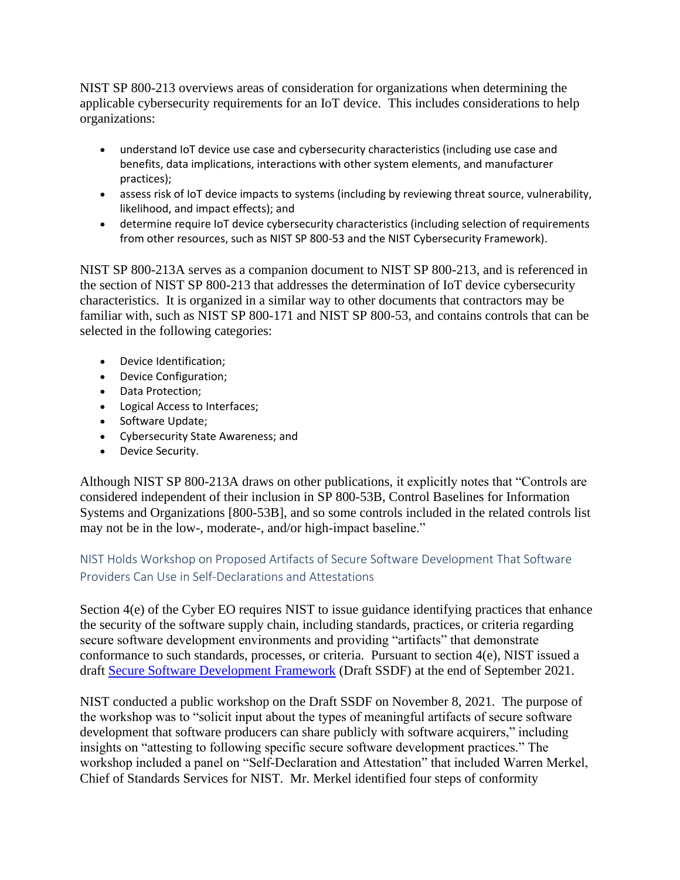NIST SP 800-213 overviews areas of consideration for organizations when determining the applicable cybersecurity requirements for an IoT device. This includes considerations to help organizations:

- understand IoT device use case and cybersecurity characteristics (including use case and benefits, data implications, interactions with other system elements, and manufacturer practices);
- assess risk of IoT device impacts to systems (including by reviewing threat source, vulnerability, likelihood, and impact effects); and
- determine require IoT device cybersecurity characteristics (including selection of requirements from other resources, such as NIST SP 800-53 and the NIST Cybersecurity Framework).

NIST SP 800-213A serves as a companion document to NIST SP 800-213, and is referenced in the section of NIST SP 800-213 that addresses the determination of IoT device cybersecurity characteristics. It is organized in a similar way to other documents that contractors may be familiar with, such as NIST SP 800-171 and NIST SP 800-53, and contains controls that can be selected in the following categories:

- Device Identification;
- Device Configuration;
- Data Protection;
- Logical Access to Interfaces;
- Software Update;
- Cybersecurity State Awareness; and
- Device Security.

Although NIST SP 800-213A draws on other publications, it explicitly notes that "Controls are considered independent of their inclusion in SP 800-53B, Control Baselines for Information Systems and Organizations [800-53B], and so some controls included in the related controls list may not be in the low-, moderate-, and/or high-impact baseline."

#### NIST Holds Workshop on Proposed Artifacts of Secure Software Development That Software Providers Can Use in Self-Declarations and Attestations

Section 4(e) of the Cyber EO requires NIST to issue guidance identifying practices that enhance the security of the software supply chain, including standards, practices, or criteria regarding secure software development environments and providing "artifacts" that demonstrate conformance to such standards, processes, or criteria. Pursuant to section 4(e), NIST issued a draft [Secure Software Development Framework](https://csrc.nist.gov/Projects/ssdf) (Draft SSDF) at the end of September 2021.

NIST conducted a public workshop on the Draft SSDF on November 8, 2021. The purpose of the workshop was to "solicit input about the types of meaningful artifacts of secure software development that software producers can share publicly with software acquirers," including insights on "attesting to following specific secure software development practices." The workshop included a panel on "Self-Declaration and Attestation" that included Warren Merkel, Chief of Standards Services for NIST. Mr. Merkel identified four steps of conformity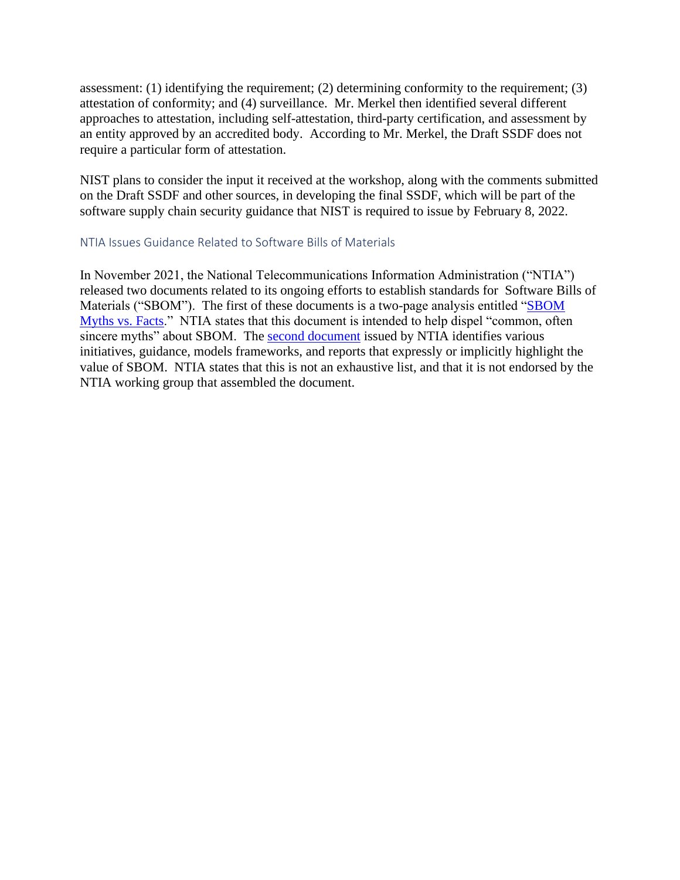assessment: (1) identifying the requirement; (2) determining conformity to the requirement; (3) attestation of conformity; and (4) surveillance. Mr. Merkel then identified several different approaches to attestation, including self-attestation, third-party certification, and assessment by an entity approved by an accredited body. According to Mr. Merkel, the Draft SSDF does not require a particular form of attestation.

NIST plans to consider the input it received at the workshop, along with the comments submitted on the Draft SSDF and other sources, in developing the final SSDF, which will be part of the software supply chain security guidance that NIST is required to issue by February 8, 2022.

#### NTIA Issues Guidance Related to Software Bills of Materials

In November 2021, the National Telecommunications Information Administration ("NTIA") released two documents related to its ongoing efforts to establish standards for Software Bills of Materials ("SBOM"). The first of these documents is a two-page analysis entitled "SBOM [Myths vs. Facts.](https://www.insidegovernmentcontracts.com/wp-content/uploads/sites/49/2021/12/SBOM-Myths-vs.-Facts.pdf)" NTIA states that this document is intended to help dispel "common, often sincere myths" about SBOM. The [second document](https://www.insidegovernmentcontracts.com/wp-content/uploads/sites/49/2021/12/sbom_related_efforts_oct2021.pdf) issued by NTIA identifies various initiatives, guidance, models frameworks, and reports that expressly or implicitly highlight the value of SBOM. NTIA states that this is not an exhaustive list, and that it is not endorsed by the NTIA working group that assembled the document.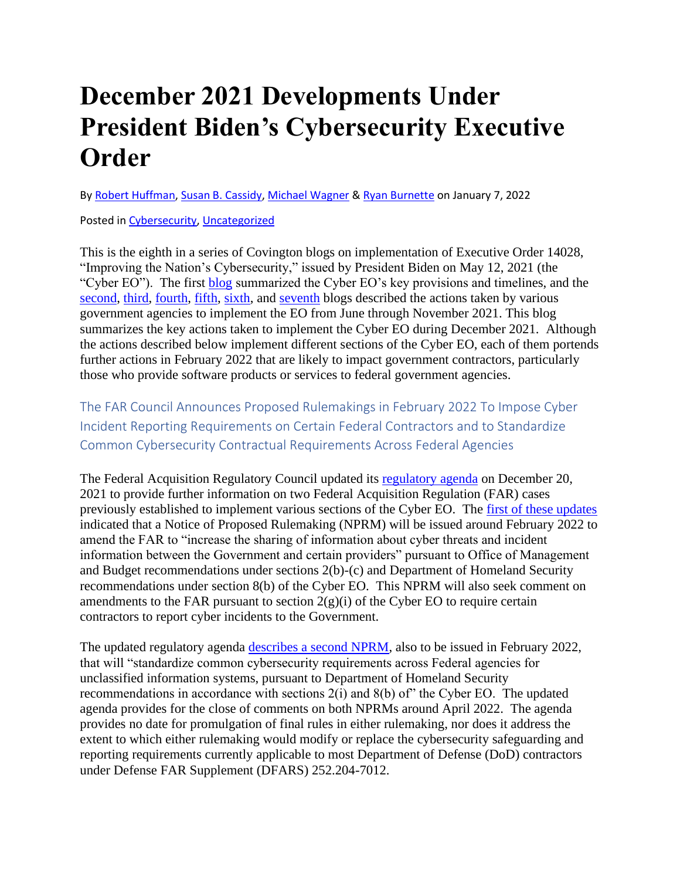### **December 2021 Developments Under President Biden's Cybersecurity Executive Order**

B[y Robert Huffman,](https://www.insidegovernmentcontracts.com/author/rhuffman/) [Susan B. Cassidy,](https://www.insidegovernmentcontracts.com/author/scassidy/) [Michael Wagner](https://www.insidegovernmentcontracts.com/author/mwagner/) & [Ryan Burnette](https://www.insidegovernmentcontracts.com/author/rburnette/) on January 7, 2022

Posted in [Cybersecurity,](https://www.insidegovernmentcontracts.com/category/cybersecurity/) [Uncategorized](https://www.insidegovernmentcontracts.com/category/uncategorized/)

This is the eighth in a series of Covington blogs on implementation of Executive Order 14028, "Improving the Nation's Cybersecurity," issued by President Biden on May 12, 2021 (the "Cyber EO"). The first [blog](https://www.insidegovernmentcontracts.com/2021/05/president-biden-signs-executive-order-aimed-at-improving-government-cybersecurity/) summarized the Cyber EO's key provisions and timelines, and the [second,](https://www.insidegovernmentcontracts.com/2021/07/june-2021-developments-under-the-executive-order-on-improving-the-nations-cybersecurity/) [third,](https://www.insidegovernmentcontracts.com/2021/07/july-2021-developments-under-the-executive-order-on-improving-the-nations-cybersecurity/) [fourth,](https://www.insidegovernmentcontracts.com/2021/09/august-2021-developments-under-president-bidens-cybersecurity-executive-order/) [fifth,](https://www.insidegovernmentcontracts.com/2021/10/september-2021-developments-under-president-bidens-cybersecurity-executive-order/) [sixth,](https://www.insidegovernmentcontracts.com/2021/11/october-2021-developments-under-president-bidens-cybersecurity-executive-order/) and [seventh](https://www.insidegovernmentcontracts.com/2021/12/november-2021-developments-under-president-bidens-cybersecurity-executive-order/) blogs described the actions taken by various government agencies to implement the EO from June through November 2021. This blog summarizes the key actions taken to implement the Cyber EO during December 2021. Although the actions described below implement different sections of the Cyber EO, each of them portends further actions in February 2022 that are likely to impact government contractors, particularly those who provide software products or services to federal government agencies.

The FAR Council Announces Proposed Rulemakings in February 2022 To Impose Cyber Incident Reporting Requirements on Certain Federal Contractors and to Standardize Common Cybersecurity Contractual Requirements Across Federal Agencies

The Federal Acquisition Regulatory Council updated its [regulatory agenda](https://www.reginfo.gov/public/do/eAgendaMain?operation=OPERATION_GET_AGENCY_RULE_LIST¤tPub=true&agencyCode=&showStage=active&agencyCd=9000&csrf_token=87D26534BD98A83E5B939D718FE038F7FF5DE796142CADD487FCC0E7A552C506148D6FCD556021BA6F5C891F643145D1EF04) on December 20, 2021 to provide further information on two Federal Acquisition Regulation (FAR) cases previously established to implement various sections of the Cyber EO. The [first of these updates](https://www.reginfo.gov/public/do/eAgendaViewRule?pubId=202110&RIN=9000-AO34) indicated that a Notice of Proposed Rulemaking (NPRM) will be issued around February 2022 to amend the FAR to "increase the sharing of information about cyber threats and incident information between the Government and certain providers" pursuant to Office of Management and Budget recommendations under sections 2(b)-(c) and Department of Homeland Security recommendations under section 8(b) of the Cyber EO. This NPRM will also seek comment on amendments to the FAR pursuant to section  $2(g)(i)$  of the Cyber EO to require certain contractors to report cyber incidents to the Government.

The updated regulatory agenda [describes a second NPRM,](https://www.reginfo.gov/public/do/eAgendaViewRule?pubId=202110&RIN=9000-AO35) also to be issued in February 2022, that will "standardize common cybersecurity requirements across Federal agencies for unclassified information systems, pursuant to Department of Homeland Security recommendations in accordance with sections 2(i) and 8(b) of" the Cyber EO. The updated agenda provides for the close of comments on both NPRMs around April 2022. The agenda provides no date for promulgation of final rules in either rulemaking, nor does it address the extent to which either rulemaking would modify or replace the cybersecurity safeguarding and reporting requirements currently applicable to most Department of Defense (DoD) contractors under Defense FAR Supplement (DFARS) 252.204-7012.